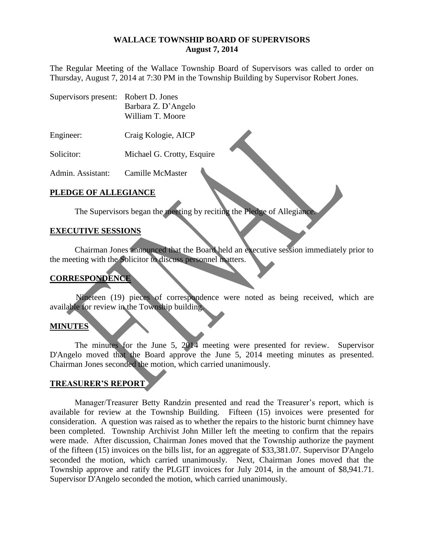#### **WALLACE TOWNSHIP BOARD OF SUPERVISORS August 7, 2014**

The Regular Meeting of the Wallace Township Board of Supervisors was called to order on Thursday, August 7, 2014 at 7:30 PM in the Township Building by Supervisor Robert Jones.

- Supervisors present: Robert D. Jones Barbara Z. D'Angelo William T. Moore
- Engineer: Craig Kologie, AICP
- Solicitor: Michael G. Crotty, Esquire

Admin. Assistant: Camille McMaster

### **PLEDGE OF ALLEGIANCE**

The Supervisors began the meeting by reciting the Pledge of Allegiance.

#### **EXECUTIVE SESSIONS**

Chairman Jones announced that the Board held an executive session immediately prior to the meeting with the Solicitor to discuss personnel matters.

#### **CORRESPONDENCE**

Nineteen (19) pieces of correspondence were noted as being received, which are available for review in the Township building.

#### **MINUTES**

The minutes for the June 5, 2014 meeting were presented for review. Supervisor D'Angelo moved that the Board approve the June 5, 2014 meeting minutes as presented. Chairman Jones seconded the motion, which carried unanimously.

#### **TREASURER'S REPORT**

Manager/Treasurer Betty Randzin presented and read the Treasurer's report, which is available for review at the Township Building. Fifteen (15) invoices were presented for consideration. A question was raised as to whether the repairs to the historic burnt chimney have been completed. Township Archivist John Miller left the meeting to confirm that the repairs were made. After discussion, Chairman Jones moved that the Township authorize the payment of the fifteen (15) invoices on the bills list, for an aggregate of \$33,381.07. Supervisor D'Angelo seconded the motion, which carried unanimously. Next, Chairman Jones moved that the Township approve and ratify the PLGIT invoices for July 2014, in the amount of \$8,941.71. Supervisor D'Angelo seconded the motion, which carried unanimously.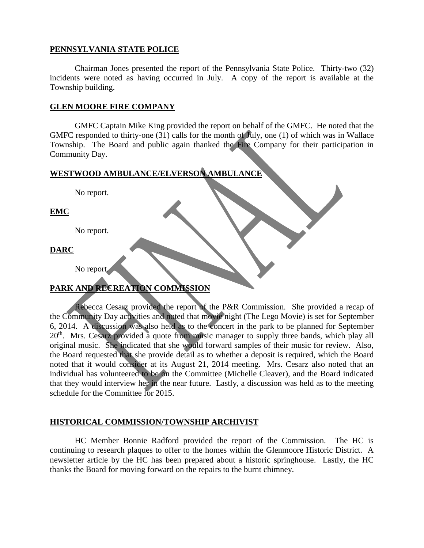## **PENNSYLVANIA STATE POLICE**

Chairman Jones presented the report of the Pennsylvania State Police. Thirty-two (32) incidents were noted as having occurred in July. A copy of the report is available at the Township building.

### **GLEN MOORE FIRE COMPANY**

GMFC Captain Mike King provided the report on behalf of the GMFC. He noted that the GMFC responded to thirty-one (31) calls for the month of July, one (1) of which was in Wallace Township. The Board and public again thanked the Fire Company for their participation in Community Day.

# **WESTWOOD AMBULANCE/ELVERSON AMBULANCE**

No report. **EMC** No report. **DARC** No report. **PARK AND RECREATION COMMISSION**

Rebecca Cesarz provided the report of the P&R Commission. She provided a recap of the Community Day activities and noted that movie night (The Lego Movie) is set for September 6, 2014. A discussion was also held as to the concert in the park to be planned for September 20<sup>th</sup>. Mrs. Cesarz provided a quote from music manager to supply three bands, which play all original music. She indicated that she would forward samples of their music for review. Also, the Board requested that she provide detail as to whether a deposit is required, which the Board noted that it would consider at its August 21, 2014 meeting. Mrs. Cesarz also noted that an individual has volunteered to be on the Committee (Michelle Cleaver), and the Board indicated that they would interview her in the near future. Lastly, a discussion was held as to the meeting schedule for the Committee for 2015.

## **HISTORICAL COMMISSION/TOWNSHIP ARCHIVIST**

HC Member Bonnie Radford provided the report of the Commission. The HC is continuing to research plaques to offer to the homes within the Glenmoore Historic District. A newsletter article by the HC has been prepared about a historic springhouse. Lastly, the HC thanks the Board for moving forward on the repairs to the burnt chimney.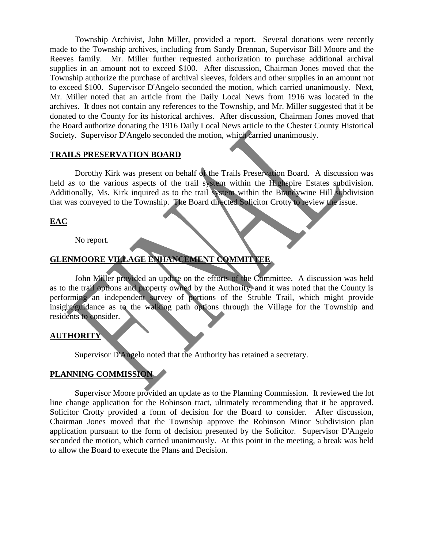Township Archivist, John Miller, provided a report. Several donations were recently made to the Township archives, including from Sandy Brennan, Supervisor Bill Moore and the Reeves family. Mr. Miller further requested authorization to purchase additional archival supplies in an amount not to exceed \$100. After discussion, Chairman Jones moved that the Township authorize the purchase of archival sleeves, folders and other supplies in an amount not to exceed \$100. Supervisor D'Angelo seconded the motion, which carried unanimously. Next, Mr. Miller noted that an article from the Daily Local News from 1916 was located in the archives. It does not contain any references to the Township, and Mr. Miller suggested that it be donated to the County for its historical archives. After discussion, Chairman Jones moved that the Board authorize donating the 1916 Daily Local News article to the Chester County Historical Society. Supervisor D'Angelo seconded the motion, which carried unanimously.

#### **TRAILS PRESERVATION BOARD**

Dorothy Kirk was present on behalf of the Trails Preservation Board. A discussion was held as to the various aspects of the trail system within the Highspire Estates subdivision. Additionally, Ms. Kirk inquired as to the trail system within the Brandywine Hill subdivision that was conveyed to the Township. The Board directed Solicitor Crotty to review the issue.

## **EAC**

No report.

# **GLENMOORE VILLAGE ENHANCEMENT COMMITTEE**

John Miller provided an update on the efforts of the Committee. A discussion was held as to the trail options and property owned by the Authority, and it was noted that the County is performing an independent survey of portions of the Struble Trail, which might provide insight/guidance as to the walking path options through the Village for the Township and residents to consider.

## **AUTHORITY**

Supervisor D'Angelo noted that the Authority has retained a secretary.

#### **PLANNING COMMISSION**

Supervisor Moore provided an update as to the Planning Commission. It reviewed the lot line change application for the Robinson tract, ultimately recommending that it be approved. Solicitor Crotty provided a form of decision for the Board to consider. After discussion, Chairman Jones moved that the Township approve the Robinson Minor Subdivision plan application pursuant to the form of decision presented by the Solicitor. Supervisor D'Angelo seconded the motion, which carried unanimously. At this point in the meeting, a break was held to allow the Board to execute the Plans and Decision.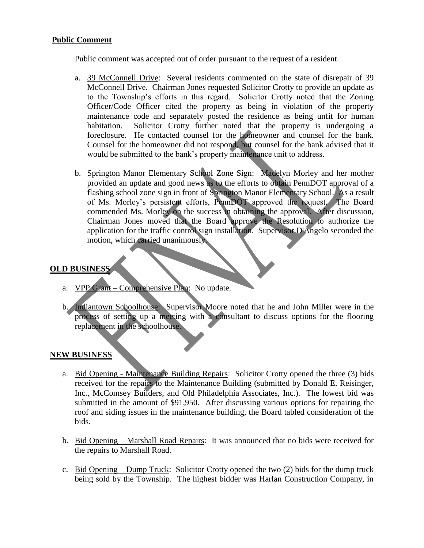## **Public Comment**

Public comment was accepted out of order pursuant to the request of a resident.

- a. 39 McConnell Drive: Several residents commented on the state of disrepair of 39 McConnell Drive. Chairman Jones requested Solicitor Crotty to provide an update as to the Township's efforts in this regard. Solicitor Crotty noted that the Zoning Officer/Code Officer cited the property as being in violation of the property maintenance code and separately posted the residence as being unfit for human habitation. Solicitor Crotty further noted that the property is undergoing a foreclosure. He contacted counsel for the homeowner and counsel for the bank. Counsel for the homeowner did not respond, but counsel for the bank advised that it would be submitted to the bank's property maintenance unit to address.
- b. Springton Manor Elementary School Zone Sign: Madelyn Morley and her mother provided an update and good news as to the efforts to obtain PennDOT approval of a flashing school zone sign in front of Springton Manor Elementary School. As a result of Ms. Morley's persistent efforts, PennDOT approved the request. The Board commended Ms. Morley on the success in obtaining the approval. After discussion, Chairman Jones moved that the Board approve the Resolution to authorize the application for the traffic control sign installation. Supervisor D'Angelo seconded the motion, which carried unanimously.

## **OLD BUSINESS**

- a. VPP Grant Comprehensive Plan: No update.
- b. Indiantown Schoolhouse: Supervisor Moore noted that he and John Miller were in the process of setting up a meeting with a consultant to discuss options for the flooring replacement in the schoolhouse.

#### **NEW BUSINESS**

- a. Bid Opening Maintenance Building Repairs: Solicitor Crotty opened the three (3) bids received for the repairs to the Maintenance Building (submitted by Donald E. Reisinger, Inc., McComsey Builders, and Old Philadelphia Associates, Inc.). The lowest bid was submitted in the amount of \$91,950. After discussing various options for repairing the roof and siding issues in the maintenance building, the Board tabled consideration of the bids.
- b. Bid Opening Marshall Road Repairs: It was announced that no bids were received for the repairs to Marshall Road.
- c. Bid Opening Dump Truck: Solicitor Crotty opened the two (2) bids for the dump truck being sold by the Township. The highest bidder was Harlan Construction Company, in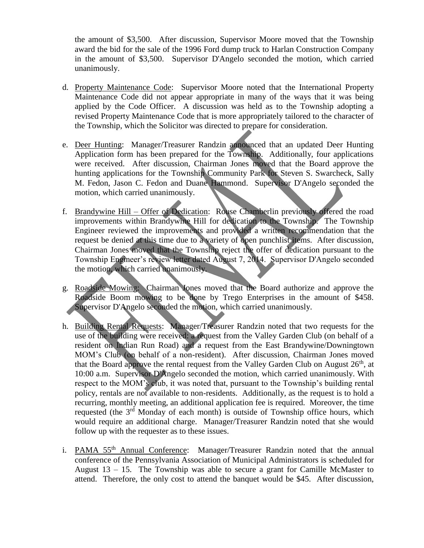the amount of \$3,500. After discussion, Supervisor Moore moved that the Township award the bid for the sale of the 1996 Ford dump truck to Harlan Construction Company in the amount of \$3,500. Supervisor D'Angelo seconded the motion, which carried unanimously.

- d. Property Maintenance Code: Supervisor Moore noted that the International Property Maintenance Code did not appear appropriate in many of the ways that it was being applied by the Code Officer. A discussion was held as to the Township adopting a revised Property Maintenance Code that is more appropriately tailored to the character of the Township, which the Solicitor was directed to prepare for consideration.
- e. Deer Hunting: Manager/Treasurer Randzin announced that an updated Deer Hunting Application form has been prepared for the Township. Additionally, four applications were received. After discussion, Chairman Jones moved that the Board approve the hunting applications for the Township Community Park for Steven S. Swarcheck, Sally M. Fedon, Jason C. Fedon and Duane Hammond. Supervisor D'Angelo seconded the motion, which carried unanimously.
- f. Brandywine Hill Offer of Dedication: Rouse Chamberlin previously offered the road improvements within Brandywine Hill for dedication to the Township. The Township Engineer reviewed the improvements and provided a written recommendation that the request be denied at this time due to a variety of open punchlist items. After discussion, Chairman Jones moved that the Township reject the offer of dedication pursuant to the Township Engineer's review letter dated August 7, 2014. Supervisor D'Angelo seconded the motion, which carried unanimously.
- g. Roadside Mowing: Chairman Jones moved that the Board authorize and approve the Roadside Boom mowing to be done by Trego Enterprises in the amount of \$458. Supervisor D'Angelo seconded the motion, which carried unanimously.
- h. Building Rental Requests: Manager/Treasurer Randzin noted that two requests for the use of the building were received: a request from the Valley Garden Club (on behalf of a resident on Indian Run Road) and a request from the East Brandywine/Downingtown MOM's Club (on behalf of a non-resident). After discussion, Chairman Jones moved that the Board approve the rental request from the Valley Garden Club on August  $26<sup>th</sup>$ , at 10:00 a.m. Supervisor D'Angelo seconded the motion, which carried unanimously. With respect to the MOM's club, it was noted that, pursuant to the Township's building rental policy, rentals are not available to non-residents. Additionally, as the request is to hold a recurring, monthly meeting, an additional application fee is required. Moreover, the time requested (the  $3<sup>rd</sup>$  Monday of each month) is outside of Township office hours, which would require an additional charge. Manager/Treasurer Randzin noted that she would follow up with the requester as to these issues.
- i. PAMA 55<sup>th</sup> Annual Conference: Manager/Treasurer Randzin noted that the annual conference of the Pennsylvania Association of Municipal Administrators is scheduled for August 13 – 15. The Township was able to secure a grant for Camille McMaster to attend. Therefore, the only cost to attend the banquet would be \$45. After discussion,